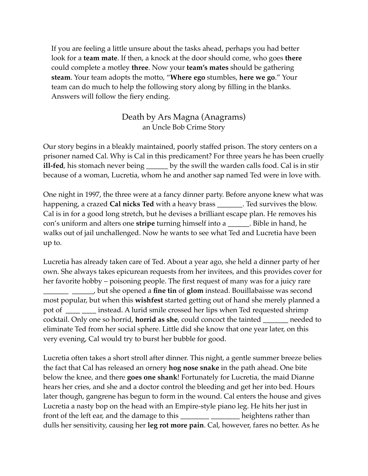If you are feeling a little unsure about the tasks ahead, perhaps you had better look for a **team mate**. If then, a knock at the door should come, who goes **there** could complete a motley **three**. Now your **team's mates** should be gathering **steam**. Your team adopts the motto, "**Where ego** stumbles, **here we go**." Your team can do much to help the following story along by filling in the blanks. Answers will follow the fiery ending.

## Death by Ars Magna (Anagrams) an Uncle Bob Crime Story

Our story begins in a bleakly maintained, poorly staffed prison. The story centers on a prisoner named Cal. Why is Cal in this predicament? For three years he has been cruelly **ill-fed**, his stomach never being \_\_\_\_\_\_ by the swill the warden calls food. Cal is in stir because of a woman, Lucretia, whom he and another sap named Ted were in love with.

One night in 1997, the three were at a fancy dinner party. Before anyone knew what was happening, a crazed **Cal nicks Ted** with a heavy brass \_\_\_\_\_\_\_. Ted survives the blow. Cal is in for a good long stretch, but he devises a brilliant escape plan. He removes his con's uniform and alters one **stripe** turning himself into a \_\_\_\_\_\_. Bible in hand, he walks out of jail unchallenged. Now he wants to see what Ted and Lucretia have been up to.

Lucretia has already taken care of Ted. About a year ago, she held a dinner party of her own. She always takes epicurean requests from her invitees, and this provides cover for her favorite hobby – poisoning people. The first request of many was for a juicy rare \_\_\_\_\_\_\_ \_\_\_\_\_\_, but she opened a **fine tin** of **glom** instead. Bouillabaisse was second most popular, but when this **wishfest** started getting out of hand she merely planned a pot of  $\frac{1}{\sqrt{1-\frac{1}{\sqrt{1-\frac{1}{\sqrt{1-\frac{1}{\sqrt{1-\frac{1}{\sqrt{1-\frac{1}{\sqrt{1-\frac{1}{\sqrt{1-\frac{1}{\sqrt{1-\frac{1}{\sqrt{1-\frac{1}{\sqrt{1-\frac{1}{\sqrt{1-\frac{1}{\sqrt{1-\frac{1}{\sqrt{1-\frac{1}{\sqrt{1-\frac{1}{\sqrt{1-\frac{1}{\sqrt{1-\frac{1}{\sqrt{1-\frac{1}{\sqrt{1-\frac{1}{\sqrt{1-\frac{1}{\sqrt{1-\frac{1}{\sqrt{1-\frac{1}{\sqrt{1-\frac{1}{\sqrt{1-\frac{1}{\sqrt$ cocktail. Only one so horrid, **horrid as she**, could concoct the tainted \_\_\_\_\_\_\_ needed to eliminate Ted from her social sphere. Little did she know that one year later, on this very evening, Cal would try to burst her bubble for good.

Lucretia often takes a short stroll after dinner. This night, a gentle summer breeze belies the fact that Cal has released an ornery **hog nose snake** in the path ahead. One bite below the knee, and there **goes one shank**! Fortunately for Lucretia, the maid Dianne hears her cries, and she and a doctor control the bleeding and get her into bed. Hours later though, gangrene has begun to form in the wound. Cal enters the house and gives Lucretia a nasty bop on the head with an Empire-style piano leg. He hits her just in front of the left ear, and the damage to this \_\_\_\_\_\_\_\_\_\_\_\_\_\_\_\_\_\_\_\_\_\_\_heightens rather than dulls her sensitivity, causing her **leg rot more pain**. Cal, however, fares no better. As he